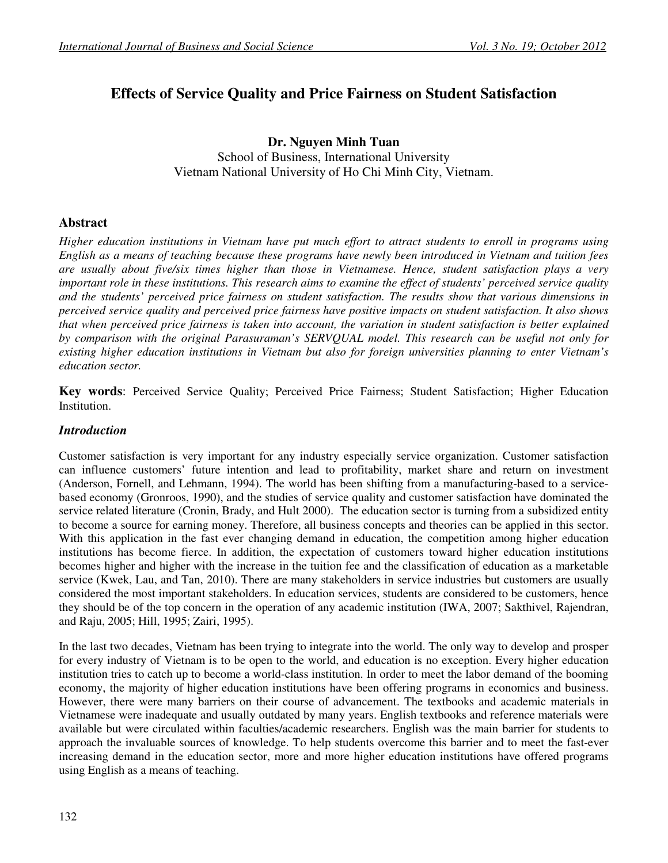# **Effects of Service Quality and Price Fairness on Student Satisfaction**

**Dr. Nguyen Minh Tuan**  School of Business, International University Vietnam National University of Ho Chi Minh City, Vietnam.

## **Abstract**

*Higher education institutions in Vietnam have put much effort to attract students to enroll in programs using English as a means of teaching because these programs have newly been introduced in Vietnam and tuition fees are usually about five/six times higher than those in Vietnamese. Hence, student satisfaction plays a very important role in these institutions. This research aims to examine the effect of students' perceived service quality and the students' perceived price fairness on student satisfaction. The results show that various dimensions in perceived service quality and perceived price fairness have positive impacts on student satisfaction. It also shows that when perceived price fairness is taken into account, the variation in student satisfaction is better explained by comparison with the original Parasuraman's SERVQUAL model. This research can be useful not only for existing higher education institutions in Vietnam but also for foreign universities planning to enter Vietnam's education sector.* 

**Key words**: Perceived Service Quality; Perceived Price Fairness; Student Satisfaction; Higher Education **Institution** 

## *Introduction*

Customer satisfaction is very important for any industry especially service organization. Customer satisfaction can influence customers' future intention and lead to profitability, market share and return on investment (Anderson, Fornell, and Lehmann, 1994). The world has been shifting from a manufacturing-based to a servicebased economy (Gronroos, 1990), and the studies of service quality and customer satisfaction have dominated the service related literature (Cronin, Brady, and Hult 2000). The education sector is turning from a subsidized entity to become a source for earning money. Therefore, all business concepts and theories can be applied in this sector. With this application in the fast ever changing demand in education, the competition among higher education institutions has become fierce. In addition, the expectation of customers toward higher education institutions becomes higher and higher with the increase in the tuition fee and the classification of education as a marketable service (Kwek, Lau, and Tan, 2010). There are many stakeholders in service industries but customers are usually considered the most important stakeholders. In education services, students are considered to be customers, hence they should be of the top concern in the operation of any academic institution (IWA, 2007; Sakthivel, Rajendran, and Raju, 2005; Hill, 1995; Zairi, 1995).

In the last two decades, Vietnam has been trying to integrate into the world. The only way to develop and prosper for every industry of Vietnam is to be open to the world, and education is no exception. Every higher education institution tries to catch up to become a world-class institution. In order to meet the labor demand of the booming economy, the majority of higher education institutions have been offering programs in economics and business. However, there were many barriers on their course of advancement. The textbooks and academic materials in Vietnamese were inadequate and usually outdated by many years. English textbooks and reference materials were available but were circulated within faculties/academic researchers. English was the main barrier for students to approach the invaluable sources of knowledge. To help students overcome this barrier and to meet the fast-ever increasing demand in the education sector, more and more higher education institutions have offered programs using English as a means of teaching.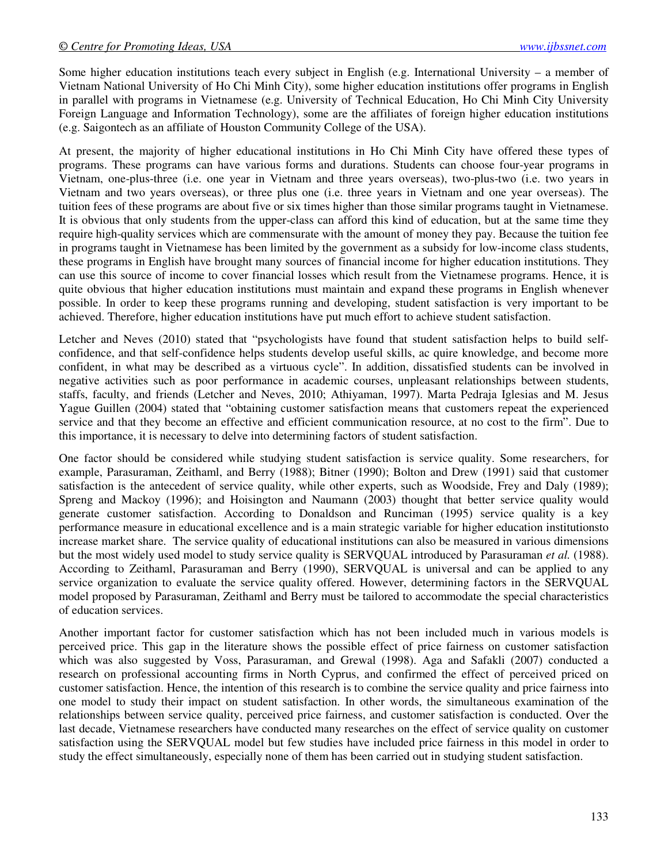Some higher education institutions teach every subject in English (e.g. International University – a member of Vietnam National University of Ho Chi Minh City), some higher education institutions offer programs in English in parallel with programs in Vietnamese (e.g. University of Technical Education, Ho Chi Minh City University Foreign Language and Information Technology), some are the affiliates of foreign higher education institutions (e.g. Saigontech as an affiliate of Houston Community College of the USA).

At present, the majority of higher educational institutions in Ho Chi Minh City have offered these types of programs. These programs can have various forms and durations. Students can choose four-year programs in Vietnam, one-plus-three (i.e. one year in Vietnam and three years overseas), two-plus-two (i.e. two years in Vietnam and two years overseas), or three plus one (i.e. three years in Vietnam and one year overseas). The tuition fees of these programs are about five or six times higher than those similar programs taught in Vietnamese. It is obvious that only students from the upper-class can afford this kind of education, but at the same time they require high-quality services which are commensurate with the amount of money they pay. Because the tuition fee in programs taught in Vietnamese has been limited by the government as a subsidy for low-income class students, these programs in English have brought many sources of financial income for higher education institutions. They can use this source of income to cover financial losses which result from the Vietnamese programs. Hence, it is quite obvious that higher education institutions must maintain and expand these programs in English whenever possible. In order to keep these programs running and developing, student satisfaction is very important to be achieved. Therefore, higher education institutions have put much effort to achieve student satisfaction.

Letcher and Neves (2010) stated that "psychologists have found that student satisfaction helps to build selfconfidence, and that self-confidence helps students develop useful skills, ac quire knowledge, and become more confident, in what may be described as a virtuous cycle". In addition, dissatisfied students can be involved in negative activities such as poor performance in academic courses, unpleasant relationships between students, staffs, faculty, and friends (Letcher and Neves, 2010; Athiyaman, 1997). Marta Pedraja Iglesias and M. Jesus Yague Guillen (2004) stated that "obtaining customer satisfaction means that customers repeat the experienced service and that they become an effective and efficient communication resource, at no cost to the firm". Due to this importance, it is necessary to delve into determining factors of student satisfaction.

One factor should be considered while studying student satisfaction is service quality. Some researchers, for example, Parasuraman, Zeithaml, and Berry (1988); Bitner (1990); Bolton and Drew (1991) said that customer satisfaction is the antecedent of service quality, while other experts, such as Woodside, Frey and Daly (1989); Spreng and Mackoy (1996); and Hoisington and Naumann (2003) thought that better service quality would generate customer satisfaction. According to Donaldson and Runciman (1995) service quality is a key performance measure in educational excellence and is a main strategic variable for higher education institutionsto increase market share. The service quality of educational institutions can also be measured in various dimensions but the most widely used model to study service quality is SERVQUAL introduced by Parasuraman *et al.* (1988). According to Zeithaml, Parasuraman and Berry (1990), SERVQUAL is universal and can be applied to any service organization to evaluate the service quality offered. However, determining factors in the SERVQUAL model proposed by Parasuraman, Zeithaml and Berry must be tailored to accommodate the special characteristics of education services.

Another important factor for customer satisfaction which has not been included much in various models is perceived price. This gap in the literature shows the possible effect of price fairness on customer satisfaction which was also suggested by Voss, Parasuraman, and Grewal (1998). Aga and Safakli (2007) conducted a research on professional accounting firms in North Cyprus, and confirmed the effect of perceived priced on customer satisfaction. Hence, the intention of this research is to combine the service quality and price fairness into one model to study their impact on student satisfaction. In other words, the simultaneous examination of the relationships between service quality, perceived price fairness, and customer satisfaction is conducted. Over the last decade, Vietnamese researchers have conducted many researches on the effect of service quality on customer satisfaction using the SERVQUAL model but few studies have included price fairness in this model in order to study the effect simultaneously, especially none of them has been carried out in studying student satisfaction.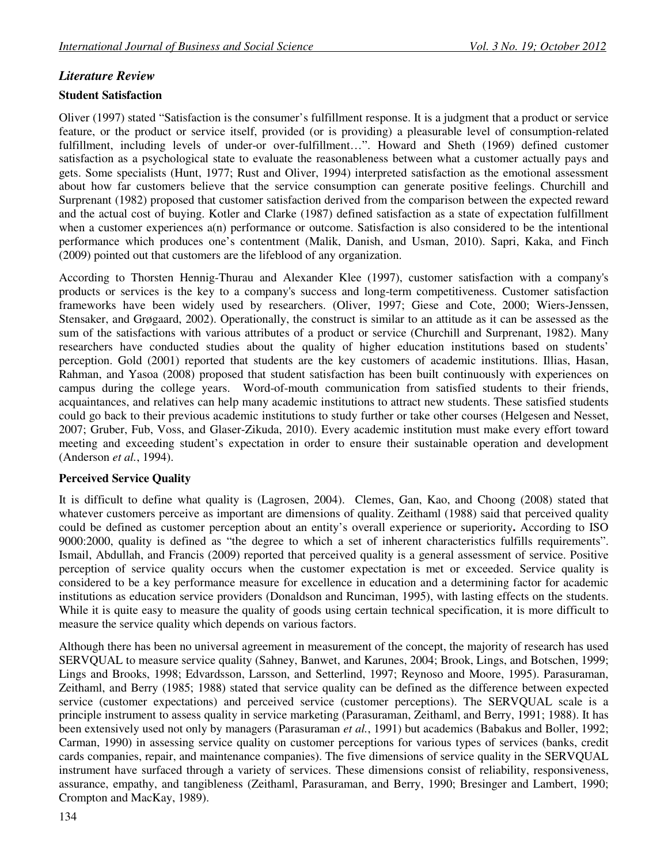## *Literature Review*

## **Student Satisfaction**

Oliver (1997) stated "Satisfaction is the consumer's fulfillment response. It is a judgment that a product or service feature, or the product or service itself, provided (or is providing) a pleasurable level of consumption-related fulfillment, including levels of under-or over-fulfillment…". Howard and Sheth (1969) defined customer satisfaction as a psychological state to evaluate the reasonableness between what a customer actually pays and gets. Some specialists (Hunt, 1977; Rust and Oliver, 1994) interpreted satisfaction as the emotional assessment about how far customers believe that the service consumption can generate positive feelings. Churchill and Surprenant (1982) proposed that customer satisfaction derived from the comparison between the expected reward and the actual cost of buying. Kotler and Clarke (1987) defined satisfaction as a state of expectation fulfillment when a customer experiences  $a(n)$  performance or outcome. Satisfaction is also considered to be the intentional performance which produces one's contentment (Malik, Danish, and Usman, 2010). Sapri, Kaka, and Finch (2009) pointed out that customers are the lifeblood of any organization.

According to Thorsten Hennig-Thurau and Alexander Klee (1997), customer satisfaction with a company's products or services is the key to a company's success and long-term competitiveness. Customer satisfaction frameworks have been widely used by researchers. (Oliver, 1997; Giese and Cote, 2000; Wiers-Jenssen, Stensaker, and Grøgaard, 2002). Operationally, the construct is similar to an attitude as it can be assessed as the sum of the satisfactions with various attributes of a product or service (Churchill and Surprenant, 1982). Many researchers have conducted studies about the quality of higher education institutions based on students' perception. Gold (2001) reported that students are the key customers of academic institutions. Illias, Hasan, Rahman, and Yasoa (2008) proposed that student satisfaction has been built continuously with experiences on campus during the college years. Word-of-mouth communication from satisfied students to their friends, acquaintances, and relatives can help many academic institutions to attract new students. These satisfied students could go back to their previous academic institutions to study further or take other courses (Helgesen and Nesset, 2007; Gruber, Fub, Voss, and Glaser-Zikuda, 2010). Every academic institution must make every effort toward meeting and exceeding student's expectation in order to ensure their sustainable operation and development (Anderson *et al.*, 1994).

## **Perceived Service Quality**

It is difficult to define what quality is (Lagrosen, 2004). Clemes, Gan, Kao, and Choong (2008) stated that whatever customers perceive as important are dimensions of quality. Zeithaml (1988) said that perceived quality could be defined as customer perception about an entity's overall experience or superiority**.** According to ISO 9000:2000, quality is defined as "the degree to which a set of inherent characteristics fulfills requirements". Ismail, Abdullah, and Francis (2009) reported that perceived quality is a general assessment of service. Positive perception of service quality occurs when the customer expectation is met or exceeded. Service quality is considered to be a key performance measure for excellence in education and a determining factor for academic institutions as education service providers (Donaldson and Runciman, 1995), with lasting effects on the students. While it is quite easy to measure the quality of goods using certain technical specification, it is more difficult to measure the service quality which depends on various factors.

Although there has been no universal agreement in measurement of the concept, the majority of research has used SERVQUAL to measure service quality (Sahney, Banwet, and Karunes, 2004; Brook, Lings, and Botschen, 1999; Lings and Brooks, 1998; Edvardsson, Larsson, and Setterlind, 1997; Reynoso and Moore, 1995). Parasuraman, Zeithaml, and Berry (1985; 1988) stated that service quality can be defined as the difference between expected service (customer expectations) and perceived service (customer perceptions). The SERVQUAL scale is a principle instrument to assess quality in service marketing (Parasuraman, Zeithaml, and Berry, 1991; 1988). It has been extensively used not only by managers (Parasuraman *et al.*, 1991) but academics (Babakus and Boller, 1992; Carman, 1990) in assessing service quality on customer perceptions for various types of services (banks, credit cards companies, repair, and maintenance companies). The five dimensions of service quality in the SERVQUAL instrument have surfaced through a variety of services. These dimensions consist of reliability, responsiveness, assurance, empathy, and tangibleness (Zeithaml, Parasuraman, and Berry, 1990; Bresinger and Lambert, 1990; Crompton and MacKay, 1989).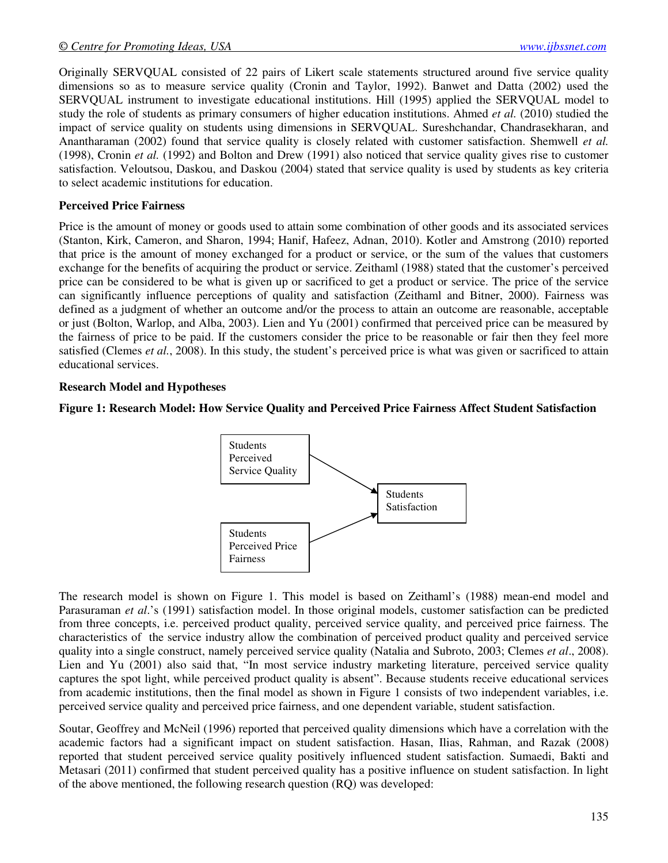Originally SERVQUAL consisted of 22 pairs of Likert scale statements structured around five service quality dimensions so as to measure service quality (Cronin and Taylor, 1992). Banwet and Datta (2002) used the SERVQUAL instrument to investigate educational institutions. Hill (1995) applied the SERVQUAL model to study the role of students as primary consumers of higher education institutions. Ahmed *et al.* (2010) studied the impact of service quality on students using dimensions in SERVQUAL. Sureshchandar, Chandrasekharan, and Anantharaman (2002) found that service quality is closely related with customer satisfaction. Shemwell *et al.* (1998), Cronin *et al.* (1992) and Bolton and Drew (1991) also noticed that service quality gives rise to customer satisfaction. Veloutsou, Daskou, and Daskou (2004) stated that service quality is used by students as key criteria to select academic institutions for education.

#### **Perceived Price Fairness**

Price is the amount of money or goods used to attain some combination of other goods and its associated services (Stanton, Kirk, Cameron, and Sharon, 1994; Hanif, Hafeez, Adnan, 2010). Kotler and Amstrong (2010) reported that price is the amount of money exchanged for a product or service, or the sum of the values that customers exchange for the benefits of acquiring the product or service. Zeithaml (1988) stated that the customer's perceived price can be considered to be what is given up or sacrificed to get a product or service. The price of the service can significantly influence perceptions of quality and satisfaction (Zeithaml and Bitner, 2000). Fairness was defined as a judgment of whether an outcome and/or the process to attain an outcome are reasonable, acceptable or just (Bolton, Warlop, and Alba, 2003). Lien and Yu (2001) confirmed that perceived price can be measured by the fairness of price to be paid. If the customers consider the price to be reasonable or fair then they feel more satisfied (Clemes *et al.*, 2008). In this study, the student's perceived price is what was given or sacrificed to attain educational services.

## **Research Model and Hypotheses**

## **Figure 1: Research Model: How Service Quality and Perceived Price Fairness Affect Student Satisfaction**



The research model is shown on Figure 1. This model is based on Zeithaml's (1988) mean-end model and Parasuraman *et al*.'s (1991) satisfaction model. In those original models, customer satisfaction can be predicted from three concepts, i.e. perceived product quality, perceived service quality, and perceived price fairness. The characteristics of the service industry allow the combination of perceived product quality and perceived service quality into a single construct, namely perceived service quality (Natalia and Subroto, 2003; Clemes *et al*., 2008). Lien and Yu (2001) also said that, "In most service industry marketing literature, perceived service quality captures the spot light, while perceived product quality is absent". Because students receive educational services from academic institutions, then the final model as shown in Figure 1 consists of two independent variables, i.e. perceived service quality and perceived price fairness, and one dependent variable, student satisfaction.

Soutar, Geoffrey and McNeil (1996) reported that perceived quality dimensions which have a correlation with the academic factors had a significant impact on student satisfaction. Hasan, Ilias, Rahman, and Razak (2008) reported that student perceived service quality positively influenced student satisfaction. Sumaedi, Bakti and Metasari (2011) confirmed that student perceived quality has a positive influence on student satisfaction. In light of the above mentioned, the following research question (RQ) was developed: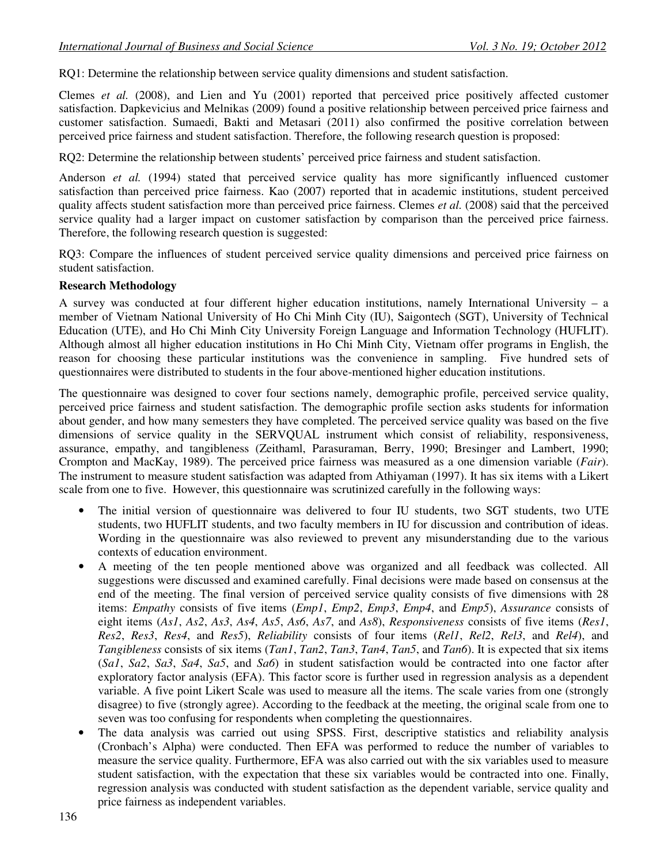RQ1: Determine the relationship between service quality dimensions and student satisfaction.

Clemes *et al.* (2008), and Lien and Yu (2001) reported that perceived price positively affected customer satisfaction. Dapkevicius and Melnikas (2009) found a positive relationship between perceived price fairness and customer satisfaction. Sumaedi, Bakti and Metasari (2011) also confirmed the positive correlation between perceived price fairness and student satisfaction. Therefore, the following research question is proposed:

RQ2: Determine the relationship between students' perceived price fairness and student satisfaction.

Anderson *et al.* (1994) stated that perceived service quality has more significantly influenced customer satisfaction than perceived price fairness. Kao (2007) reported that in academic institutions, student perceived quality affects student satisfaction more than perceived price fairness. Clemes *et al.* (2008) said that the perceived service quality had a larger impact on customer satisfaction by comparison than the perceived price fairness. Therefore, the following research question is suggested:

RQ3: Compare the influences of student perceived service quality dimensions and perceived price fairness on student satisfaction.

#### **Research Methodology**

A survey was conducted at four different higher education institutions, namely International University – a member of Vietnam National University of Ho Chi Minh City (IU), Saigontech (SGT), University of Technical Education (UTE), and Ho Chi Minh City University Foreign Language and Information Technology (HUFLIT). Although almost all higher education institutions in Ho Chi Minh City, Vietnam offer programs in English, the reason for choosing these particular institutions was the convenience in sampling. Five hundred sets of questionnaires were distributed to students in the four above-mentioned higher education institutions.

The questionnaire was designed to cover four sections namely, demographic profile, perceived service quality, perceived price fairness and student satisfaction. The demographic profile section asks students for information about gender, and how many semesters they have completed. The perceived service quality was based on the five dimensions of service quality in the SERVQUAL instrument which consist of reliability, responsiveness, assurance, empathy, and tangibleness (Zeithaml, Parasuraman, Berry, 1990; Bresinger and Lambert, 1990; Crompton and MacKay, 1989). The perceived price fairness was measured as a one dimension variable (*Fair*). The instrument to measure student satisfaction was adapted from Athiyaman (1997). It has six items with a Likert scale from one to five. However, this questionnaire was scrutinized carefully in the following ways:

- The initial version of questionnaire was delivered to four IU students, two SGT students, two UTE students, two HUFLIT students, and two faculty members in IU for discussion and contribution of ideas. Wording in the questionnaire was also reviewed to prevent any misunderstanding due to the various contexts of education environment.
- A meeting of the ten people mentioned above was organized and all feedback was collected. All suggestions were discussed and examined carefully. Final decisions were made based on consensus at the end of the meeting. The final version of perceived service quality consists of five dimensions with 28 items: *Empathy* consists of five items (*Emp1*, *Emp2*, *Emp3*, *Emp4*, and *Emp5*), *Assurance* consists of eight items (*As1*, *As2*, *As3*, *As4*, *As5*, *As6*, *As7*, and *As8*), *Responsiveness* consists of five items (*Res1*, *Res2*, *Res3*, *Res4*, and *Res5*), *Reliability* consists of four items (*Rel1*, *Rel2*, *Rel3*, and *Rel4*), and *Tangibleness* consists of six items (*Tan1*, *Tan2*, *Tan3*, *Tan4*, *Tan5*, and *Tan6*). It is expected that six items (*Sa1*, *Sa2*, *Sa3*, *Sa4*, *Sa5*, and *Sa6*) in student satisfaction would be contracted into one factor after exploratory factor analysis (EFA). This factor score is further used in regression analysis as a dependent variable. A five point Likert Scale was used to measure all the items. The scale varies from one (strongly disagree) to five (strongly agree). According to the feedback at the meeting, the original scale from one to seven was too confusing for respondents when completing the questionnaires.
- The data analysis was carried out using SPSS. First, descriptive statistics and reliability analysis (Cronbach's Alpha) were conducted. Then EFA was performed to reduce the number of variables to measure the service quality. Furthermore, EFA was also carried out with the six variables used to measure student satisfaction, with the expectation that these six variables would be contracted into one. Finally, regression analysis was conducted with student satisfaction as the dependent variable, service quality and price fairness as independent variables.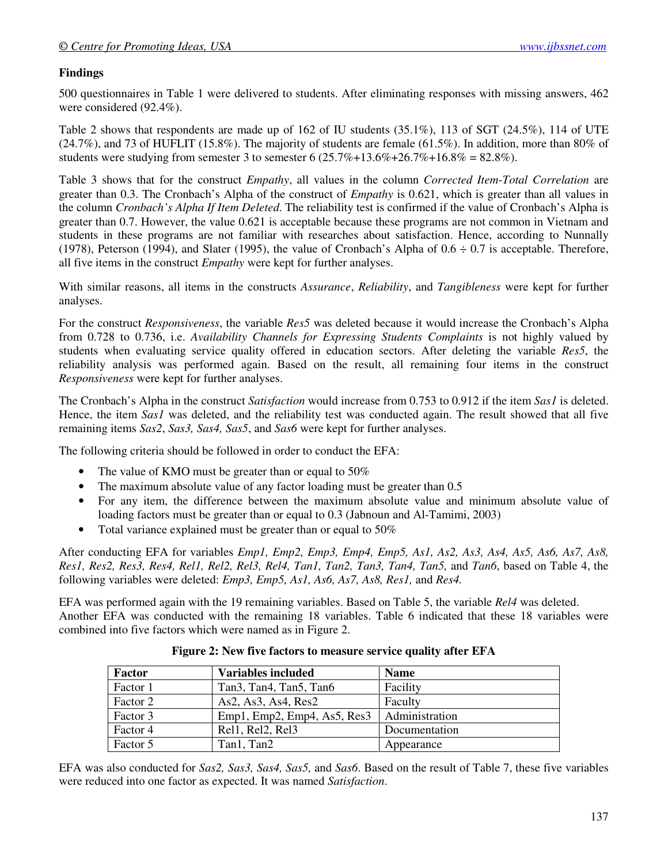## **Findings**

500 questionnaires in Table 1 were delivered to students. After eliminating responses with missing answers, 462 were considered (92.4%).

Table 2 shows that respondents are made up of 162 of IU students (35.1%), 113 of SGT (24.5%), 114 of UTE (24.7%), and 73 of HUFLIT (15.8%). The majority of students are female (61.5%). In addition, more than 80% of students were studying from semester 3 to semester 6  $(25.7\% + 13.6\% + 26.7\% + 16.8\% = 82.8\%).$ 

Table 3 shows that for the construct *Empathy*, all values in the column *Corrected Item-Total Correlation* are greater than 0.3. The Cronbach's Alpha of the construct of *Empathy* is 0.621, which is greater than all values in the column *Cronbach's Alpha If Item Deleted*. The reliability test is confirmed if the value of Cronbach's Alpha is greater than 0.7. However, the value 0.621 is acceptable because these programs are not common in Vietnam and students in these programs are not familiar with researches about satisfaction. Hence, according to Nunnally (1978), Peterson (1994), and Slater (1995), the value of Cronbach's Alpha of  $0.6 \div 0.7$  is acceptable. Therefore, all five items in the construct *Empathy* were kept for further analyses.

With similar reasons, all items in the constructs *Assurance*, *Reliability*, and *Tangibleness* were kept for further analyses.

For the construct *Responsiveness*, the variable *Res5* was deleted because it would increase the Cronbach's Alpha from 0.728 to 0.736, i.e. *Availability Channels for Expressing Students Complaints* is not highly valued by students when evaluating service quality offered in education sectors. After deleting the variable *Res5*, the reliability analysis was performed again. Based on the result, all remaining four items in the construct *Responsiveness* were kept for further analyses.

The Cronbach's Alpha in the construct *Satisfaction* would increase from 0.753 to 0.912 if the item *Sas1* is deleted. Hence, the item *Sas1* was deleted, and the reliability test was conducted again. The result showed that all five remaining items *Sas2*, *Sas3, Sas4, Sas5*, and *Sas6* were kept for further analyses.

The following criteria should be followed in order to conduct the EFA:

- The value of KMO must be greater than or equal to 50%
- The maximum absolute value of any factor loading must be greater than 0.5
- For any item, the difference between the maximum absolute value and minimum absolute value of loading factors must be greater than or equal to 0.3 (Jabnoun and Al-Tamimi, 2003)
- Total variance explained must be greater than or equal to 50%

After conducting EFA for variables *Emp1, Emp2, Emp3, Emp4, Emp5, As1, As2, As3, As4, As5, As6, As7, As8, Res1, Res2, Res3, Res4, Rel1, Rel2, Rel3, Rel4, Tan1, Tan2, Tan3, Tan4, Tan5,* and *Tan6*, based on Table 4, the following variables were deleted: *Emp3, Emp5, As1, As6, As7, As8, Res1,* and *Res4.* 

EFA was performed again with the 19 remaining variables. Based on Table 5, the variable *Rel4* was deleted. Another EFA was conducted with the remaining 18 variables. Table 6 indicated that these 18 variables were combined into five factors which were named as in Figure 2.

| Factor   | <b>Variables included</b>                                                 | <b>Name</b>    |
|----------|---------------------------------------------------------------------------|----------------|
| Factor 1 | Tan <sub>3</sub> , Tan <sub>4</sub> , Tan <sub>5</sub> , Tan <sub>6</sub> | Facility       |
| Factor 2 | As2, As3, As4, Res2                                                       | Faculty        |
| Factor 3 | Emp1, Emp2, Emp4, As5, Res3                                               | Administration |
| Factor 4 | Rell, Rel <sub>2</sub> , Rel <sub>3</sub>                                 | Documentation  |
| Factor 5 | Tan1, Tan2                                                                | Appearance     |

**Figure 2: New five factors to measure service quality after EFA** 

EFA was also conducted for *Sas2, Sas3, Sas4, Sas5,* and *Sas6*. Based on the result of Table 7, these five variables were reduced into one factor as expected. It was named *Satisfaction*.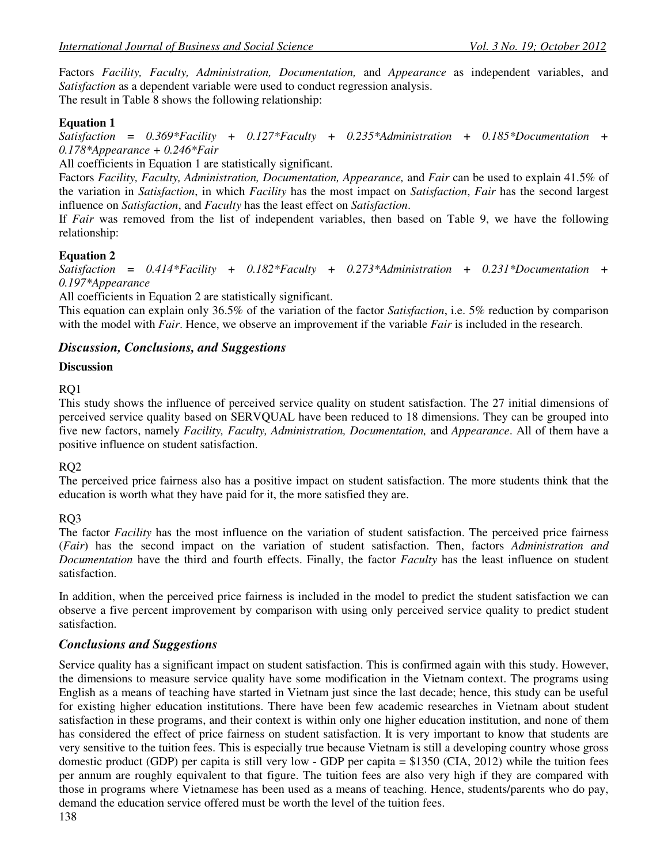Factors *Facility, Faculty, Administration, Documentation,* and *Appearance* as independent variables, and *Satisfaction* as a dependent variable were used to conduct regression analysis. The result in Table 8 shows the following relationship:

## **Equation 1**

*Satisfaction = 0.369\*Facility + 0.127\*Faculty + 0.235\*Administration + 0.185\*Documentation + 0.178\*Appearance + 0.246\*Fair* 

All coefficients in Equation 1 are statistically significant.

Factors *Facility, Faculty, Administration, Documentation, Appearance,* and *Fair* can be used to explain 41.5% of the variation in *Satisfaction*, in which *Facility* has the most impact on *Satisfaction*, *Fair* has the second largest influence on *Satisfaction*, and *Faculty* has the least effect on *Satisfaction*.

If *Fair* was removed from the list of independent variables, then based on Table 9, we have the following relationship:

## **Equation 2**

*Satisfaction = 0.414\*Facility + 0.182\*Faculty + 0.273\*Administration + 0.231\*Documentation + 0.197\*Appearance* 

All coefficients in Equation 2 are statistically significant.

This equation can explain only 36.5% of the variation of the factor *Satisfaction*, i.e. 5% reduction by comparison with the model with *Fair*. Hence, we observe an improvement if the variable *Fair* is included in the research.

## *Discussion, Conclusions, and Suggestions*

## **Discussion**

RQ1

This study shows the influence of perceived service quality on student satisfaction. The 27 initial dimensions of perceived service quality based on SERVQUAL have been reduced to 18 dimensions. They can be grouped into five new factors, namely *Facility, Faculty, Administration, Documentation,* and *Appearance*. All of them have a positive influence on student satisfaction.

## RQ2

The perceived price fairness also has a positive impact on student satisfaction. The more students think that the education is worth what they have paid for it, the more satisfied they are.

## RQ3

The factor *Facility* has the most influence on the variation of student satisfaction. The perceived price fairness (*Fair*) has the second impact on the variation of student satisfaction. Then, factors *Administration and Documentation* have the third and fourth effects. Finally, the factor *Faculty* has the least influence on student satisfaction.

In addition, when the perceived price fairness is included in the model to predict the student satisfaction we can observe a five percent improvement by comparison with using only perceived service quality to predict student satisfaction.

## *Conclusions and Suggestions*

Service quality has a significant impact on student satisfaction. This is confirmed again with this study. However, the dimensions to measure service quality have some modification in the Vietnam context. The programs using English as a means of teaching have started in Vietnam just since the last decade; hence, this study can be useful for existing higher education institutions. There have been few academic researches in Vietnam about student satisfaction in these programs, and their context is within only one higher education institution, and none of them has considered the effect of price fairness on student satisfaction. It is very important to know that students are very sensitive to the tuition fees. This is especially true because Vietnam is still a developing country whose gross domestic product (GDP) per capita is still very low - GDP per capita =  $$1350$  (CIA, 2012) while the tuition fees per annum are roughly equivalent to that figure. The tuition fees are also very high if they are compared with those in programs where Vietnamese has been used as a means of teaching. Hence, students/parents who do pay, demand the education service offered must be worth the level of the tuition fees.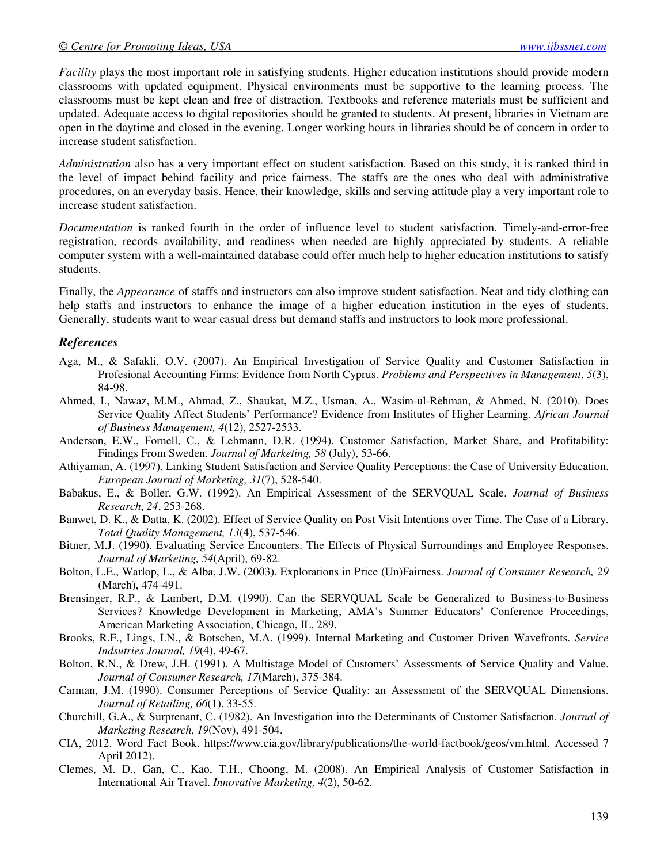*Facility* plays the most important role in satisfying students. Higher education institutions should provide modern classrooms with updated equipment. Physical environments must be supportive to the learning process. The classrooms must be kept clean and free of distraction. Textbooks and reference materials must be sufficient and updated. Adequate access to digital repositories should be granted to students. At present, libraries in Vietnam are open in the daytime and closed in the evening. Longer working hours in libraries should be of concern in order to increase student satisfaction.

*Administration* also has a very important effect on student satisfaction. Based on this study, it is ranked third in the level of impact behind facility and price fairness. The staffs are the ones who deal with administrative procedures, on an everyday basis. Hence, their knowledge, skills and serving attitude play a very important role to increase student satisfaction.

*Documentation* is ranked fourth in the order of influence level to student satisfaction. Timely-and-error-free registration, records availability, and readiness when needed are highly appreciated by students. A reliable computer system with a well-maintained database could offer much help to higher education institutions to satisfy students.

Finally, the *Appearance* of staffs and instructors can also improve student satisfaction. Neat and tidy clothing can help staffs and instructors to enhance the image of a higher education institution in the eyes of students. Generally, students want to wear casual dress but demand staffs and instructors to look more professional.

## *References*

- Aga, M., & Safakli, O.V. (2007). An Empirical Investigation of Service Quality and Customer Satisfaction in Profesional Accounting Firms: Evidence from North Cyprus. *Problems and Perspectives in Management*, *5*(3), 84-98.
- Ahmed, I., Nawaz, M.M., Ahmad, Z., Shaukat, M.Z., Usman, A., Wasim-ul-Rehman, & Ahmed, N. (2010). Does Service Quality Affect Students' Performance? Evidence from Institutes of Higher Learning. *African Journal of Business Management, 4*(12), 2527-2533.
- Anderson, E.W., Fornell, C., & Lehmann, D.R. (1994). Customer Satisfaction, Market Share, and Profitability: Findings From Sweden. *Journal of Marketing, 58* (July), 53-66.
- Athiyaman, A. (1997). Linking Student Satisfaction and Service Quality Perceptions: the Case of University Education. *European Journal of Marketing, 31*(7), 528-540.
- Babakus, E., & Boller, G.W. (1992). An Empirical Assessment of the SERVQUAL Scale. *Journal of Business Research*, *24*, 253-268.
- Banwet, D. K., & Datta, K. (2002). Effect of Service Quality on Post Visit Intentions over Time. The Case of a Library. *Total Quality Management, 13*(4), 537-546.
- Bitner, M.J. (1990). Evaluating Service Encounters. The Effects of Physical Surroundings and Employee Responses. *Journal of Marketing, 54*(April), 69-82.
- Bolton, L.E., Warlop, L., & Alba, J.W. (2003). Explorations in Price (Un)Fairness. *Journal of Consumer Research, 29* (March), 474-491.
- Brensinger, R.P., & Lambert, D.M. (1990). Can the SERVQUAL Scale be Generalized to Business-to-Business Services? Knowledge Development in Marketing, AMA's Summer Educators' Conference Proceedings, American Marketing Association, Chicago, IL, 289.
- Brooks, R.F., Lings, I.N., & Botschen, M.A. (1999). Internal Marketing and Customer Driven Wavefronts. *Service Indsutries Journal, 19*(4), 49-67.
- Bolton, R.N., & Drew, J.H. (1991). A Multistage Model of Customers' Assessments of Service Quality and Value. *Journal of Consumer Research, 17*(March), 375-384.
- Carman, J.M. (1990). Consumer Perceptions of Service Quality: an Assessment of the SERVQUAL Dimensions. *Journal of Retailing, 66*(1), 33-55.
- Churchill, G.A., & Surprenant, C. (1982). An Investigation into the Determinants of Customer Satisfaction. *Journal of Marketing Research, 19*(Nov), 491-504.
- CIA, 2012. Word Fact Book. https://www.cia.gov/library/publications/the-world-factbook/geos/vm.html. Accessed 7 April 2012).
- Clemes, M. D., Gan, C., Kao, T.H., Choong, M. (2008). An Empirical Analysis of Customer Satisfaction in International Air Travel. *Innovative Marketing, 4*(2), 50-62.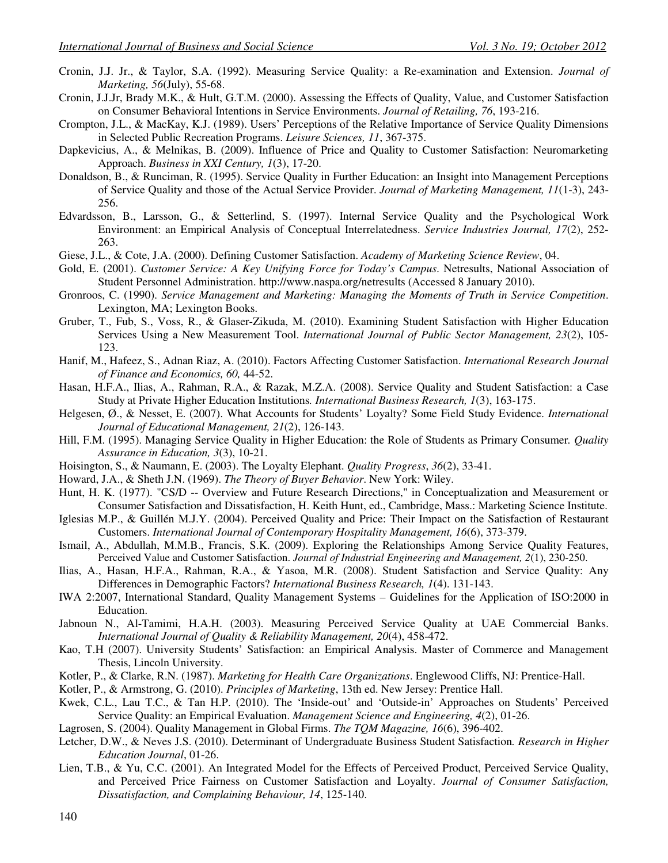- Cronin, J.J. Jr., & Taylor, S.A. (1992). Measuring Service Quality: a Re-examination and Extension. *Journal of Marketing, 56*(July), 55-68.
- Cronin, J.J.Jr, Brady M.K., & Hult, G.T.M. (2000). Assessing the Effects of Quality, Value, and Customer Satisfaction on Consumer Behavioral Intentions in Service Environments. *Journal of Retailing, 76*, 193-216.
- Crompton, J.L., & MacKay, K.J. (1989). Users' Perceptions of the Relative Importance of Service Quality Dimensions in Selected Public Recreation Programs. *Leisure Sciences, 11*, 367-375.
- Dapkevicius, A., & Melnikas, B. (2009). Influence of Price and Quality to Customer Satisfaction: Neuromarketing Approach. *Business in XXI Century, 1*(3), 17-20.
- Donaldson, B., & Runciman, R. (1995). Service Quality in Further Education: an Insight into Management Perceptions of Service Quality and those of the Actual Service Provider. *Journal of Marketing Management, 11*(1-3), 243- 256.
- Edvardsson, B., Larsson, G., & Setterlind, S. (1997). Internal Service Quality and the Psychological Work Environment: an Empirical Analysis of Conceptual Interrelatedness. *Service Industries Journal, 17*(2), 252- 263.
- Giese, J.L., & Cote, J.A. (2000). Defining Customer Satisfaction. *Academy of Marketing Science Review*, 04.
- Gold, E. (2001). *Customer Service: A Key Unifying Force for Today's Campus*. Netresults, National Association of Student Personnel Administration. http://www.naspa.org/netresults (Accessed 8 January 2010).
- Gronroos, C. (1990). *Service Management and Marketing: Managing the Moments of Truth in Service Competition*. Lexington, MA; Lexington Books.
- Gruber, T., Fub, S., Voss, R., & Glaser-Zikuda, M. (2010). Examining Student Satisfaction with Higher Education Services Using a New Measurement Tool. *International Journal of Public Sector Management, 23*(2), 105- 123.
- Hanif, M., Hafeez, S., Adnan Riaz, A. (2010). Factors Affecting Customer Satisfaction. *International Research Journal of Finance and Economics, 60,* 44-52.
- Hasan, H.F.A., Ilias, A., Rahman, R.A., & Razak, M.Z.A. (2008). Service Quality and Student Satisfaction: a Case Study at Private Higher Education Institutions*. International Business Research, 1*(3), 163-175.
- Helgesen, Ø., & Nesset, E. (2007). What Accounts for Students' Loyalty? Some Field Study Evidence. *International Journal of Educational Management, 21*(2), 126-143.
- Hill, F.M. (1995). Managing Service Quality in Higher Education: the Role of Students as Primary Consumer*. Quality Assurance in Education, 3*(3), 10-21.
- Hoisington, S., & Naumann, E. (2003). The Loyalty Elephant. *Quality Progress*, *36*(2), 33-41.
- Howard, J.A., & Sheth J.N. (1969). *The Theory of Buyer Behavior*. New York: Wiley.
- Hunt, H. K. (1977). "CS/D -- Overview and Future Research Directions," in Conceptualization and Measurement or Consumer Satisfaction and Dissatisfaction, H. Keith Hunt, ed., Cambridge, Mass.: Marketing Science Institute.
- Iglesias M.P., & Guillén M.J.Y. (2004). Perceived Quality and Price: Their Impact on the Satisfaction of Restaurant Customers. *International Journal of Contemporary Hospitality Management, 16*(6), 373-379.
- Ismail, A., Abdullah, M.M.B., Francis, S.K. (2009). Exploring the Relationships Among Service Quality Features, Perceived Value and Customer Satisfaction. *Journal of Industrial Engineering and Management, 2*(1), 230-250.
- Ilias, A., Hasan, H.F.A., Rahman, R.A., & Yasoa, M.R. (2008). Student Satisfaction and Service Quality: Any Differences in Demographic Factors? *International Business Research, 1*(4). 131-143.
- IWA 2:2007, International Standard, Quality Management Systems Guidelines for the Application of ISO:2000 in Education.
- Jabnoun N., Al-Tamimi, H.A.H. (2003). Measuring Perceived Service Quality at UAE Commercial Banks. *International Journal of Quality & Reliability Management, 20*(4), 458-472.
- Kao, T.H (2007). University Students' Satisfaction: an Empirical Analysis. Master of Commerce and Management Thesis, Lincoln University.
- Kotler, P., & Clarke, R.N. (1987). *Marketing for Health Care Organizations*. Englewood Cliffs, NJ: Prentice-Hall.
- Kotler, P., & Armstrong, G. (2010). *Principles of Marketing*, 13th ed. New Jersey: Prentice Hall.
- Kwek, C.L., Lau T.C., & Tan H.P. (2010). The 'Inside-out' and 'Outside-in' Approaches on Students' Perceived Service Quality: an Empirical Evaluation. *Management Science and Engineering, 4*(2), 01-26.
- Lagrosen, S. (2004). Quality Management in Global Firms. *The TQM Magazine, 16*(6), 396-402.
- Letcher, D.W., & Neves J.S. (2010). Determinant of Undergraduate Business Student Satisfaction*. Research in Higher Education Journal*, 01-26.
- Lien, T.B., & Yu, C.C. (2001). An Integrated Model for the Effects of Perceived Product, Perceived Service Quality, and Perceived Price Fairness on Customer Satisfaction and Loyalty. *Journal of Consumer Satisfaction, Dissatisfaction, and Complaining Behaviour, 14*, 125-140.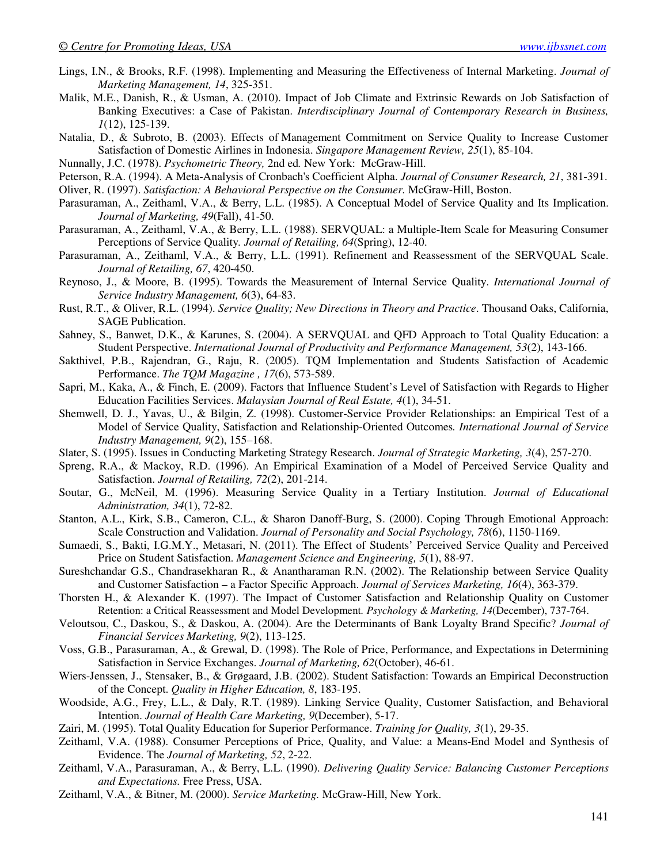- Lings, I.N., & Brooks, R.F. (1998). Implementing and Measuring the Effectiveness of Internal Marketing. *Journal of Marketing Management, 14*, 325-351.
- Malik, M.E., Danish, R., & Usman, A. (2010). Impact of Job Climate and Extrinsic Rewards on Job Satisfaction of Banking Executives: a Case of Pakistan. *Interdisciplinary Journal of Contemporary Research in Business, 1*(12), 125-139.
- Natalia, D., & Subroto, B. (2003). Effects of Management Commitment on Service Quality to Increase Customer Satisfaction of Domestic Airlines in Indonesia. *Singapore Management Review, 25*(1), 85-104.
- Nunnally, J.C. (1978). *Psychometric Theory,* 2nd ed*.* New York: McGraw-Hill.
- Peterson, R.A. (1994). A Meta-Analysis of Cronbach's Coefficient Alpha. *Journal of Consumer Research, 21*, 381-391.

Oliver, R. (1997). *Satisfaction: A Behavioral Perspective on the Consumer.* McGraw-Hill, Boston.

- Parasuraman, A., Zeithaml, V.A., & Berry, L.L. (1985). A Conceptual Model of Service Quality and Its Implication. *Journal of Marketing, 49*(Fall), 41-50.
- Parasuraman, A., Zeithaml, V.A., & Berry, L.L. (1988). SERVQUAL: a Multiple-Item Scale for Measuring Consumer Perceptions of Service Quality*. Journal of Retailing, 64*(Spring), 12-40.
- Parasuraman, A., Zeithaml, V.A., & Berry, L.L. (1991). Refinement and Reassessment of the SERVQUAL Scale. *Journal of Retailing, 67*, 420-450.
- Reynoso, J., & Moore, B. (1995). Towards the Measurement of Internal Service Quality. *International Journal of Service Industry Management, 6*(3), 64-83.
- Rust, R.T., & Oliver, R.L. (1994). *Service Quality; New Directions in Theory and Practice*. Thousand Oaks, California, SAGE Publication.
- Sahney, S., Banwet, D.K., & Karunes, S. (2004). A SERVQUAL and QFD Approach to Total Quality Education: a Student Perspective. *International Journal of Productivity and Performance Management, 53*(2), 143-166.
- Sakthivel, P.B., Rajendran, G., Raju, R. (2005). TQM Implementation and Students Satisfaction of Academic Performance. *The TQM Magazine , 17*(6), 573-589.
- Sapri, M., Kaka, A., & Finch, E. (2009). Factors that Influence Student's Level of Satisfaction with Regards to Higher Education Facilities Services. *Malaysian Journal of Real Estate, 4*(1), 34-51.
- Shemwell, D. J., Yavas, U., & Bilgin, Z. (1998). Customer-Service Provider Relationships: an Empirical Test of a Model of Service Quality, Satisfaction and Relationship-Oriented Outcomes*. International Journal of Service Industry Management, 9*(2), 155–168.
- Slater, S. (1995). Issues in Conducting Marketing Strategy Research. *Journal of Strategic Marketing, 3*(4), 257-270.
- Spreng, R.A., & Mackoy, R.D. (1996). An Empirical Examination of a Model of Perceived Service Quality and Satisfaction. *Journal of Retailing, 72*(2), 201-214.
- Soutar, G., McNeil, M. (1996). Measuring Service Quality in a Tertiary Institution. *Journal of Educational Administration, 34*(1), 72-82.
- Stanton, A.L., Kirk, S.B., Cameron, C.L., & Sharon Danoff-Burg, S. (2000). Coping Through Emotional Approach: Scale Construction and Validation. *Journal of Personality and Social Psychology, 78*(6), 1150-1169.
- Sumaedi, S., Bakti, I.G.M.Y., Metasari, N. (2011). The Effect of Students' Perceived Service Quality and Perceived Price on Student Satisfaction. *Management Science and Engineering, 5*(1), 88-97.
- Sureshchandar G.S., Chandrasekharan R., & Anantharaman R.N. (2002). The Relationship between Service Quality and Customer Satisfaction – a Factor Specific Approach. *Journal of Services Marketing, 16*(4), 363-379.
- Thorsten H., & Alexander K. (1997). The Impact of Customer Satisfaction and Relationship Quality on Customer Retention: a Critical Reassessment and Model Development*. Psychology & Marketing, 14*(December), 737-764.
- Veloutsou, C., Daskou, S., & Daskou, A. (2004). Are the Determinants of Bank Loyalty Brand Specific? *Journal of Financial Services Marketing, 9*(2), 113-125.
- Voss, G.B., Parasuraman, A., & Grewal, D. (1998). The Role of Price, Performance, and Expectations in Determining Satisfaction in Service Exchanges. *Journal of Marketing, 62*(October), 46-61.
- Wiers-Jenssen, J., Stensaker, B., & Grøgaard, J.B. (2002). Student Satisfaction: Towards an Empirical Deconstruction of the Concept. *Quality in Higher Education, 8*, 183-195.
- Woodside, A.G., Frey, L.L., & Daly, R.T. (1989). Linking Service Quality, Customer Satisfaction, and Behavioral Intention. *Journal of Health Care Marketing, 9*(December), 5-17.
- Zairi, M. (1995). Total Quality Education for Superior Performance. *Training for Quality, 3*(1), 29-35.
- Zeithaml, V.A. (1988). Consumer Perceptions of Price, Quality, and Value: a Means-End Model and Synthesis of Evidence. The *Journal of Marketing, 52*, 2-22.
- Zeithaml, V.A., Parasuraman, A., & Berry, L.L. (1990). *Delivering Quality Service: Balancing Customer Perceptions and Expectations.* Free Press, USA.
- Zeithaml, V.A., & Bitner, M. (2000). *Service Marketing.* McGraw-Hill, New York.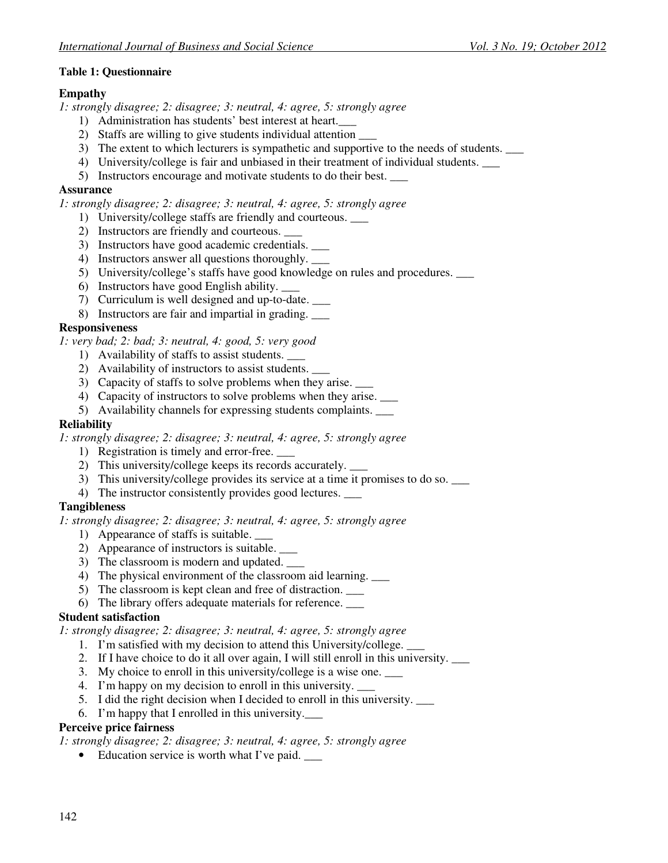## **Table 1: Questionnaire**

### **Empathy**

*1: strongly disagree; 2: disagree; 3: neutral, 4: agree, 5: strongly agree* 

- 1) Administration has students' best interest at heart.\_\_\_
- 2) Staffs are willing to give students individual attention
- 3) The extent to which lecturers is sympathetic and supportive to the needs of students.
- 4) University/college is fair and unbiased in their treatment of individual students. \_\_\_
- 5) Instructors encourage and motivate students to do their best. \_\_\_

#### **Assurance**

*1: strongly disagree; 2: disagree; 3: neutral, 4: agree, 5: strongly agree* 

- 1) University/college staffs are friendly and courteous. \_\_\_
- 2) Instructors are friendly and courteous. \_\_\_
- 3) Instructors have good academic credentials. \_\_\_
- 4) Instructors answer all questions thoroughly. \_\_\_
- 5) University/college's staffs have good knowledge on rules and procedures.
- 6) Instructors have good English ability. \_\_\_
- 7) Curriculum is well designed and up-to-date. \_\_\_
- 8) Instructors are fair and impartial in grading. \_\_\_

## **Responsiveness**

*1: very bad; 2: bad; 3: neutral, 4: good, 5: very good* 

- 1) Availability of staffs to assist students. \_\_\_
- 2) Availability of instructors to assist students. \_\_\_
- 3) Capacity of staffs to solve problems when they arise.
- 4) Capacity of instructors to solve problems when they arise.
- 5) Availability channels for expressing students complaints. \_\_\_

#### **Reliability**

*1: strongly disagree; 2: disagree; 3: neutral, 4: agree, 5: strongly agree* 

- 1) Registration is timely and error-free.
- 2) This university/college keeps its records accurately. \_\_\_
- 3) This university/college provides its service at a time it promises to do so.  $\frac{1}{1}$
- 4) The instructor consistently provides good lectures.

## **Tangibleness**

*1: strongly disagree; 2: disagree; 3: neutral, 4: agree, 5: strongly agree* 

- 1) Appearance of staffs is suitable. \_\_\_
- 2) Appearance of instructors is suitable. \_\_\_
- 3) The classroom is modern and updated.
- 4) The physical environment of the classroom aid learning. \_\_\_
- 5) The classroom is kept clean and free of distraction. \_\_\_
- 6) The library offers adequate materials for reference. \_\_\_

## **Student satisfaction**

*1: strongly disagree; 2: disagree; 3: neutral, 4: agree, 5: strongly agree* 

- 1. I'm satisfied with my decision to attend this University/college.
- 2. If I have choice to do it all over again, I will still enroll in this university. \_\_\_
- 3. My choice to enroll in this university/college is a wise one.
- 4. I'm happy on my decision to enroll in this university.
- 5. I did the right decision when I decided to enroll in this university. \_\_\_
- 6. I'm happy that I enrolled in this university.\_\_\_

#### **Perceive price fairness**

*1: strongly disagree; 2: disagree; 3: neutral, 4: agree, 5: strongly agree* 

• Education service is worth what I've paid.  $\qquad \qquad$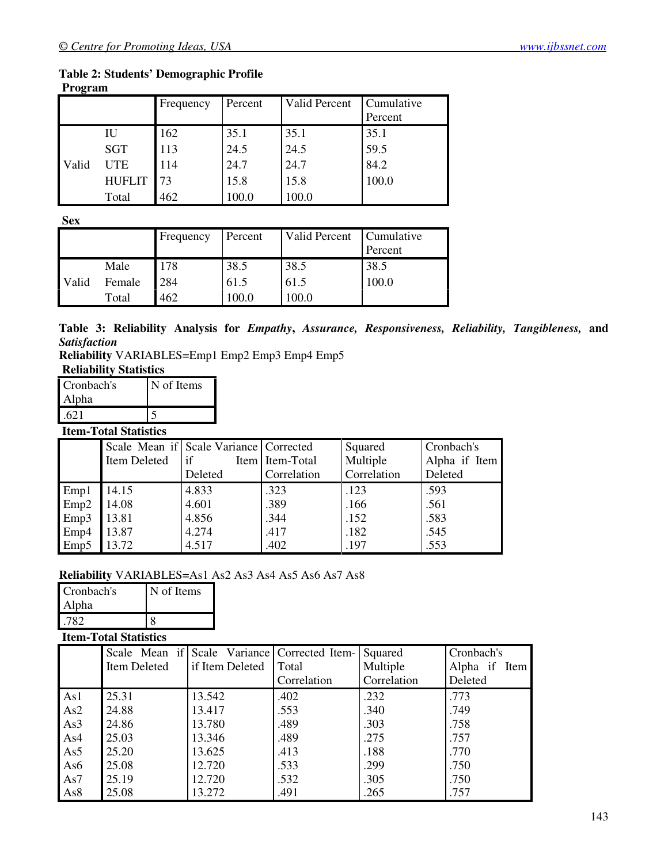#### **Table 2: Students' Demographic Profile Program**

| 1 I vel allı |      |  |  |  |
|--------------|------|--|--|--|
|              | ∹rea |  |  |  |

|       |               | Frequency | Percent | Valid Percent | Cumulative |
|-------|---------------|-----------|---------|---------------|------------|
|       |               |           |         |               | Percent    |
|       | IU            | 162       | 35.1    | 35.1          | 35.1       |
|       | <b>SGT</b>    | 113       | 24.5    | 24.5          | 59.5       |
| Valid | <b>UTE</b>    | 114       | 24.7    | 24.7          | 84.2       |
|       | <b>HUFLIT</b> | 73        | 15.8    | 15.8          | 100.0      |
|       | Total         | 462       | 100.0   | 100.0         |            |

**Sex**

|       |        | Frequency | Percent | Valid Percent | Cumulative<br>Percent |
|-------|--------|-----------|---------|---------------|-----------------------|
|       | Male   | 178       | 38.5    | 38.5          | 38.5                  |
| Valid | Female | 284       | 61.5    | 61.5          | 100.0                 |
|       | Total  | 462       | 100.0   | 100.0         |                       |

**Table 3: Reliability Analysis for** *Empathy***,** *Assurance, Responsiveness, Reliability, Tangibleness,* **and** *Satisfaction* 

**Reliability** VARIABLES=Emp1 Emp2 Emp3 Emp4 Emp5 **Reliability Statistic** 

| <b>RELEADILITY STATISTICS</b> |            |  |  |  |  |
|-------------------------------|------------|--|--|--|--|
| Cronbach's                    | N of Items |  |  |  |  |
| <b>Alpha</b>                  |            |  |  |  |  |
| .621                          |            |  |  |  |  |

## **Item-Total Statistics**

|                  | Item Deleted | Scale Mean if Scale Variance Corrected<br>lif | Item Item-Total | Squared<br>Multiple | Cronbach's<br>Alpha if Item |
|------------------|--------------|-----------------------------------------------|-----------------|---------------------|-----------------------------|
|                  |              | Deleted                                       | Correlation     | Correlation         | Deleted                     |
| Emp1             | 14.15        | 4.833                                         | .323            | .123                | .593                        |
| Emp <sub>2</sub> | 14.08        | 4.601                                         | .389            | .166                | .561                        |
| Emp3             | 13.81        | 4.856                                         | .344            | .152                | .583                        |
| Emp4             | 13.87        | 4.274                                         | .417            | .182                | .545                        |
| Emp5             | 13.72        | 4.517                                         | .402            | .197                | .553                        |

## **Reliability** VARIABLES=As1 As2 As3 As4 As5 As6 As7 As8

| Cronbach's | N of Items |  |
|------------|------------|--|
| Alpha      |            |  |
|            |            |  |

## **Item-Total Statistics**

|                 |              | Scale Mean if Scale Variance Corrected Item- |             | Squared     | Cronbach's    |
|-----------------|--------------|----------------------------------------------|-------------|-------------|---------------|
|                 | Item Deleted | if Item Deleted                              | Total       | Multiple    | Alpha if Item |
|                 |              |                                              | Correlation | Correlation | Deleted       |
| As1             | 25.31        | 13.542                                       | .402        | .232        | .773          |
| As2             | 24.88        | 13.417                                       | .553        | .340        | .749          |
| As3             | 24.86        | 13.780                                       | .489        | .303        | .758          |
| As4             | 25.03        | 13.346                                       | .489        | .275        | .757          |
| As5             | 25.20        | 13.625                                       | .413        | .188        | .770          |
| As6             | 25.08        | 12.720                                       | .533        | .299        | .750          |
| As7             | 25.19        | 12.720                                       | .532        | .305        | .750          |
| As <sub>8</sub> | 25.08        | 13.272                                       | .491        | .265        | .757          |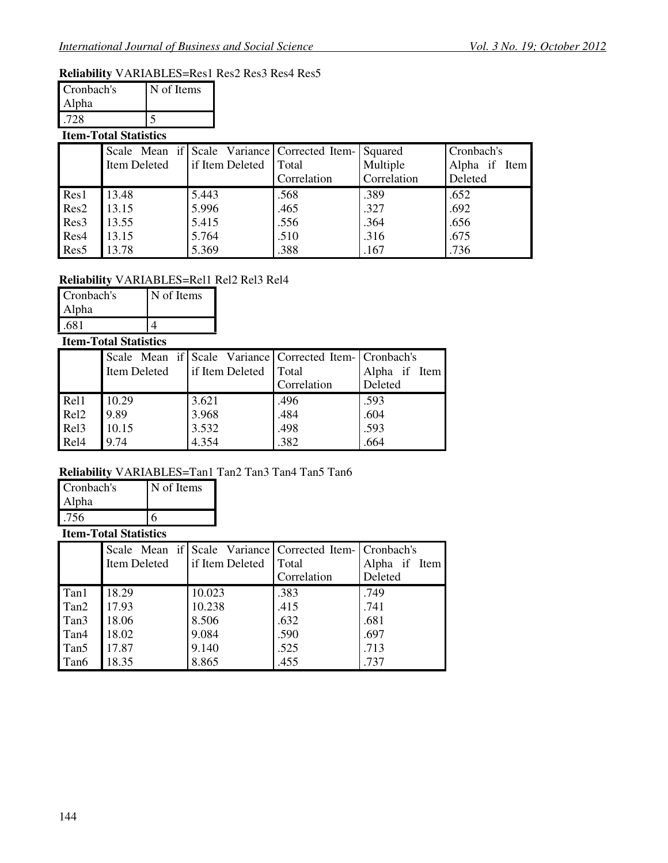## **Reliability** VARIABLES=Res1 Res2 Res3 Res4 Res5

| Cronbach's | N of Items |  |
|------------|------------|--|
| Alpha      |            |  |
| -72 X      |            |  |

## **Item-Total Statistics**

|                  |              | Scale Mean if Scale Variance Corrected Item- Squared |             |             | Cronbach's    |
|------------------|--------------|------------------------------------------------------|-------------|-------------|---------------|
|                  | Item Deleted | if Item Deleted                                      | Total       | Multiple    | Alpha if Item |
|                  |              |                                                      | Correlation | Correlation | Deleted       |
| Res1             | 13.48        | 5.443                                                | .568        | .389        | .652          |
| Res <sub>2</sub> | 13.15        | 5.996                                                | .465        | .327        | .692          |
| Res <sub>3</sub> | 13.55        | 5.415                                                | .556        | .364        | .656          |
| Res4             | 13.15        | 5.764                                                | .510        | .316        | .675          |
| Res <sub>5</sub> | 13.78        | 5.369                                                | .388        | .167        | .736          |

## **Reliability** VARIABLES=Rel1 Rel2 Rel3 Rel4

| Cronbach's | N of Items |  |
|------------|------------|--|
| Alpha      |            |  |
| .681       |            |  |

## **Item-Total Statistics**

|                  |              |                 | Scale Mean if Scale Variance Corrected Item- Cronbach's |               |
|------------------|--------------|-----------------|---------------------------------------------------------|---------------|
|                  | Item Deleted | if Item Deleted | Total                                                   | Alpha if Item |
|                  |              |                 | Correlation                                             | Deleted       |
| Rel <sub>1</sub> | 10.29        | 3.621           | .496                                                    | .593          |
| Rel <sub>2</sub> | 9.89         | 3.968           | .484                                                    | .604          |
| Re13             | 10.15        | 3.532           | .498                                                    | .593          |
| Rel <sub>4</sub> | 9.74         | 4.354           | .382                                                    | .664          |

## **Reliability** VARIABLES=Tan1 Tan2 Tan3 Tan4 Tan5 Tan6

| Cronbach's | N of Items |
|------------|------------|
| Alpha      |            |
| .756       |            |
|            |            |

## **Item-Total Statistics**

|                  |              | Scale Mean if Scale Variance Corrected Item- Cronbach's |             |               |
|------------------|--------------|---------------------------------------------------------|-------------|---------------|
|                  | Item Deleted | if Item Deleted                                         | Total       | Alpha if Item |
|                  |              |                                                         | Correlation | Deleted       |
| Tan1             | 18.29        | 10.023                                                  | .383        | .749          |
| Tan2             | 17.93        | 10.238                                                  | .415        | .741          |
| Tan3             | 18.06        | 8.506                                                   | .632        | .681          |
| Tan <sub>4</sub> | 18.02        | 9.084                                                   | .590        | .697          |
| Tan <sub>5</sub> | 17.87        | 9.140                                                   | .525        | .713          |
| Tan6             | 18.35        | 8.865                                                   | .455        | .737          |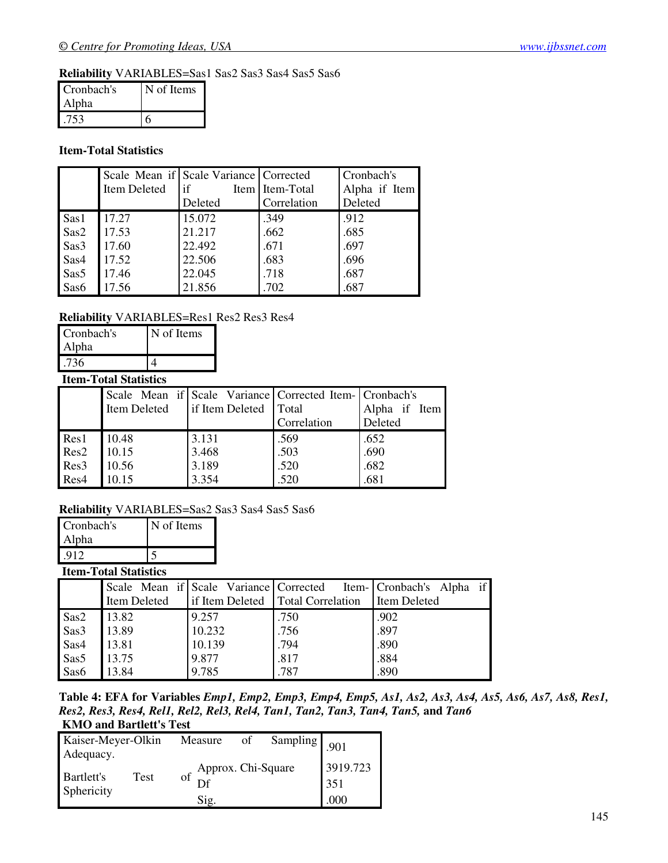## **Reliability** VARIABLES=Sas1 Sas2 Sas3 Sas4 Sas5 Sas6

| Cronbach's | N of Items |
|------------|------------|
| Alpha      |            |
|            |            |

## **Item-Total Statistics**

|      | Item Deleted | Scale Mean if Scale Variance   Corrected<br>if<br>Deleted | Item Item-Total<br>Correlation | Cronbach's<br>Alpha if Item<br>Deleted |
|------|--------------|-----------------------------------------------------------|--------------------------------|----------------------------------------|
| Sas1 | 17.27        | 15.072                                                    | .349                           | .912                                   |
| Sas2 | 17.53        | 21.217                                                    | .662                           | .685                                   |
| Sas3 | 17.60        | 22.492                                                    | .671                           | .697                                   |
| Sas4 | 17.52        | 22.506                                                    | .683                           | .696                                   |
| Sas5 | 17.46        | 22.045                                                    | .718                           | .687                                   |
| Sas6 | 17.56        | 21.856                                                    | .702                           | .687                                   |

## **Reliability** VARIABLES=Res1 Res2 Res3 Res4

| Cronbach's | N of Items |
|------------|------------|
| Alpha      |            |
| 736        |            |

## **Item-Total Statistics**

|                  |       |                                        | Scale Mean if Scale Variance Corrected Item- Cronbach's |               |
|------------------|-------|----------------------------------------|---------------------------------------------------------|---------------|
|                  |       | Item Deleted   if Item Deleted   Total |                                                         | Alpha if Item |
|                  |       |                                        | Correlation                                             | Deleted       |
| Res1             | 10.48 | 3.131                                  | .569                                                    | .652          |
| Res <sub>2</sub> | 10.15 | 3.468                                  | .503                                                    | .690          |
| Res <sub>3</sub> | 10.56 | 3.189                                  | .520                                                    | .682          |
| Res4             | 10.15 | 3.354                                  | .520                                                    | .681          |

## **Reliability** VARIABLES=Sas2 Sas3 Sas4 Sas5 Sas6

| Cronbach's | N of Items |
|------------|------------|
| Alpha      |            |
| -912       |            |

## **Item-Total Statistics**

|      |              | Scale Mean if Scale Variance Corrected |                                   | Item- Cronbach's Alpha |
|------|--------------|----------------------------------------|-----------------------------------|------------------------|
|      | Item Deleted |                                        | if Item Deleted Total Correlation | Item Deleted           |
| Sas2 | 13.82        | 9.257                                  | .750                              | .902                   |
| Sas3 | 13.89        | 10.232                                 | .756                              | .897                   |
| Sas4 | 13.81        | 10.139                                 | .794                              | .890                   |
| Sas5 | 13.75        | 9.877                                  | .817                              | .884                   |
| Sas6 | 13.84        | 9.785                                  | .787                              | .890                   |

**Table 4: EFA for Variables** *Emp1, Emp2, Emp3, Emp4, Emp5, As1, As2, As3, As4, As5, As6, As7, As8, Res1, Res2, Res3, Res4, Rel1, Rel2, Rel3, Rel4, Tan1, Tan2, Tan3, Tan4, Tan5,* **and** *Tan6* **KMO and Bartlett's Test**

| Kaiser-Meyer-Olkin<br>Adequacy. |      | Measure                                     | of | Sampling 901 |                         |
|---------------------------------|------|---------------------------------------------|----|--------------|-------------------------|
| <b>Bartlett's</b><br>Sphericity | Test | Approx. Chi-Square<br>$\sigma f$ Df<br>Sig. |    |              | 3919.723<br>351<br>.000 |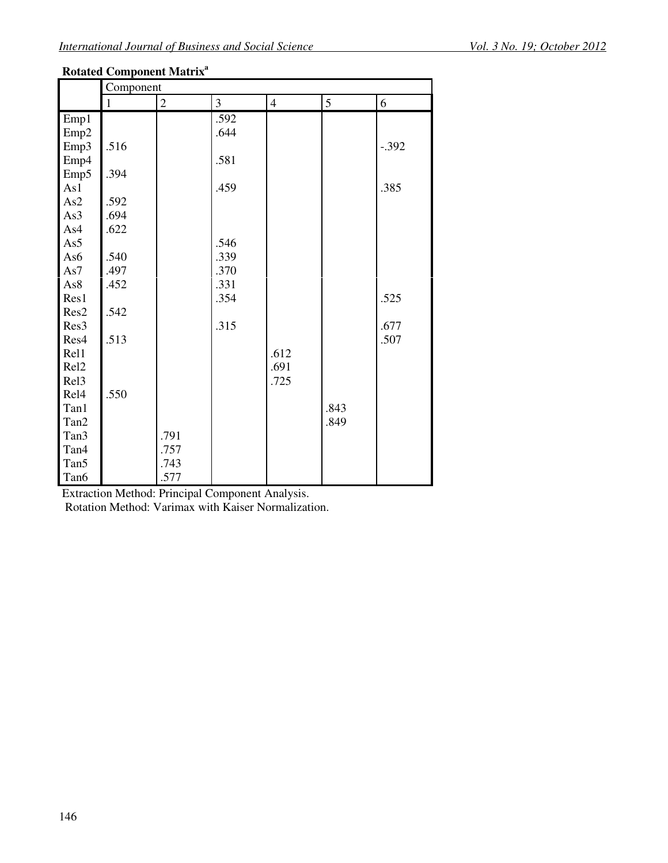## **Rotated Component Matrix<sup>a</sup>**

|                  | Component |                |                |                |            |         |  |
|------------------|-----------|----------------|----------------|----------------|------------|---------|--|
|                  | 1         | $\overline{2}$ | $\mathfrak{Z}$ | $\overline{4}$ | $\sqrt{5}$ | 6       |  |
| Emp1             |           |                | .592           |                |            |         |  |
| Emp <sub>2</sub> |           |                | .644           |                |            |         |  |
| Emp3             | .516      |                |                |                |            | $-.392$ |  |
| Emp4             |           |                | .581           |                |            |         |  |
| Emp5             | .394      |                |                |                |            |         |  |
| As1              |           |                | .459           |                |            | .385    |  |
| As2              | .592      |                |                |                |            |         |  |
| As3              | .694      |                |                |                |            |         |  |
| As4              | .622      |                |                |                |            |         |  |
| As5              |           |                | .546           |                |            |         |  |
| As6              | .540      |                | .339           |                |            |         |  |
| As7              | .497      |                | .370           |                |            |         |  |
| As8              | .452      |                | .331           |                |            |         |  |
| Res1             |           |                | .354           |                |            | .525    |  |
| Res2             | .542      |                |                |                |            |         |  |
| Res <sub>3</sub> |           |                | .315           |                |            | .677    |  |
| Res4             | .513      |                |                |                |            | .507    |  |
| Rel1             |           |                |                | .612           |            |         |  |
| Rel <sub>2</sub> |           |                |                | .691           |            |         |  |
| Rel <sub>3</sub> |           |                |                | .725           |            |         |  |
| Rel <sub>4</sub> | .550      |                |                |                |            |         |  |
| Tan1             |           |                |                |                | .843       |         |  |
| Tan2             |           |                |                |                | .849       |         |  |
| Tan3             |           | .791           |                |                |            |         |  |
| Tan4             |           | .757           |                |                |            |         |  |
| Tan <sub>5</sub> |           | .743           |                |                |            |         |  |
| Tan6             |           | .577           |                |                |            |         |  |

Extraction Method: Principal Component Analysis.

Rotation Method: Varimax with Kaiser Normalization.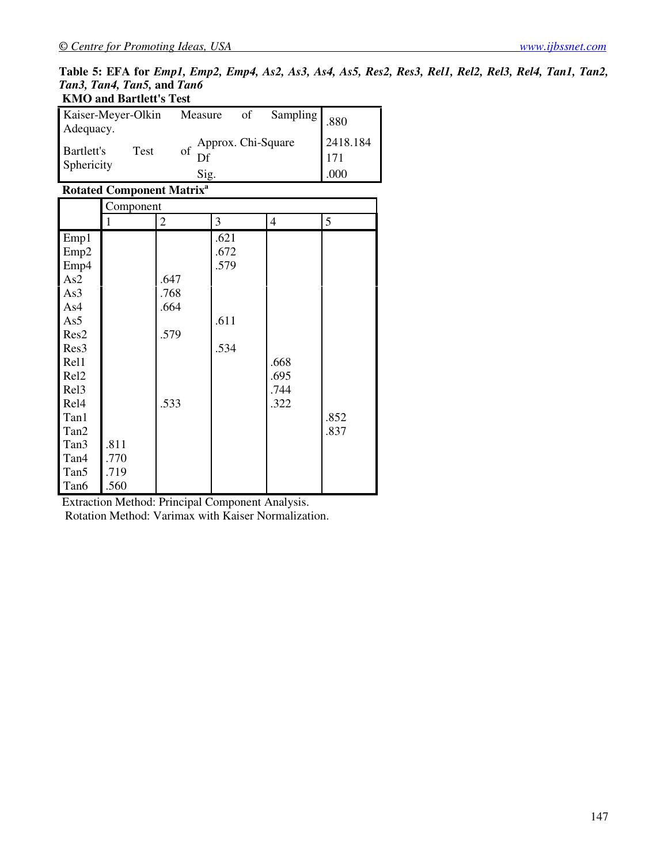#### **Table 5: EFA for** *Emp1, Emp2, Emp4, As2, As3, As4, As5, Res2, Res3, Rel1, Rel2, Rel3, Rel4, Tan1, Tan2, Tan3, Tan4, Tan5,* **and** *Tan6* **KMO and Bartlett's Test**

| <b>INVIO and Datuell S Test</b> |      |                                     |    |              |                           |
|---------------------------------|------|-------------------------------------|----|--------------|---------------------------|
| Kaiser-Meyer-Olkin<br>Adequacy. |      | Measure                             | of | Sampling 880 |                           |
| Bartlett's<br>Sphericity        | Test | of Approx. Chi-Square<br>Df<br>Sig. |    |              | 2418.184<br>  171<br>.000 |

## **Rotated Component Matrix<sup>a</sup>**

|                  | Component |              |      |                |      |  |  |
|------------------|-----------|--------------|------|----------------|------|--|--|
|                  | 1         | $\mathbf{2}$ | 3    | $\overline{4}$ | 5    |  |  |
| Emp1             |           |              | .621 |                |      |  |  |
| Emp <sub>2</sub> |           |              | .672 |                |      |  |  |
| Emp4             |           |              | .579 |                |      |  |  |
| As2              |           | .647         |      |                |      |  |  |
| As3              |           | .768         |      |                |      |  |  |
| As4              |           | .664         |      |                |      |  |  |
| As5              |           |              | .611 |                |      |  |  |
| Res2             |           | .579         |      |                |      |  |  |
| Res <sub>3</sub> |           |              | .534 |                |      |  |  |
| Rel1             |           |              |      | .668           |      |  |  |
| Rel <sub>2</sub> |           |              |      | .695           |      |  |  |
| Rel <sub>3</sub> |           |              |      | .744           |      |  |  |
| Rel <sub>4</sub> |           | .533         |      | .322           |      |  |  |
| Tan1             |           |              |      |                | .852 |  |  |
| Tan2             |           |              |      |                | .837 |  |  |
| Tan3             | .811      |              |      |                |      |  |  |
| Tan <sub>4</sub> | .770      |              |      |                |      |  |  |
| Tan <sub>5</sub> | .719      |              |      |                |      |  |  |
| Tan6             | .560      |              |      |                |      |  |  |

Extraction Method: Principal Component Analysis.

Rotation Method: Varimax with Kaiser Normalization.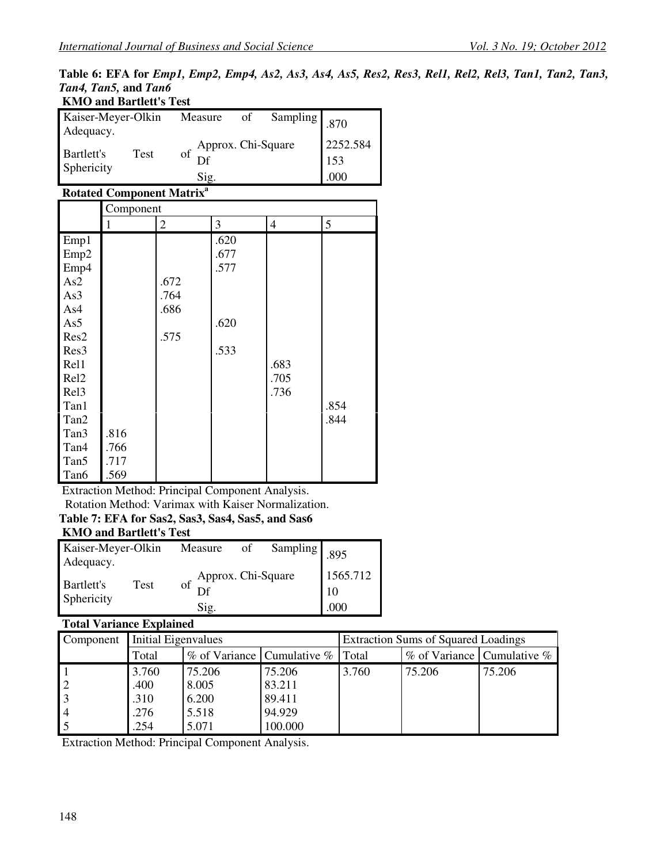#### **Table 6: EFA for** *Emp1, Emp2, Emp4, As2, As3, As4, As5, Res2, Res3, Rel1, Rel2, Rel3, Tan1, Tan2, Tan3, Tan4, Tan5,* **and** *Tan6* **KMO and Bartlett's Test**

| KNIO and Bartlett's lest                |                                     |  |  |                         |  |
|-----------------------------------------|-------------------------------------|--|--|-------------------------|--|
| Kaiser-Meyer-Olkin<br>Adequacy.         | Sampling 870<br>Measure<br>of       |  |  |                         |  |
| <b>Bartlett's</b><br>Test<br>Sphericity | of Approx. Chi-Square<br>Df<br>Sig. |  |  | 2252.584<br>153<br>.000 |  |

## **Rotated Component Matrix<sup>a</sup>**

|                  |      | Component |      |                |      |  |  |  |  |
|------------------|------|-----------|------|----------------|------|--|--|--|--|
|                  | 1    | 2         | 3    | $\overline{4}$ | 5    |  |  |  |  |
| Emp1             |      |           | .620 |                |      |  |  |  |  |
| Emp <sub>2</sub> |      |           | .677 |                |      |  |  |  |  |
| Emp4             |      |           | .577 |                |      |  |  |  |  |
| As2              |      | .672      |      |                |      |  |  |  |  |
| As3              |      | .764      |      |                |      |  |  |  |  |
| As4              |      | .686      |      |                |      |  |  |  |  |
| As5              |      |           | .620 |                |      |  |  |  |  |
| Res2             |      | .575      |      |                |      |  |  |  |  |
| Res <sub>3</sub> |      |           | .533 |                |      |  |  |  |  |
| Rel1             |      |           |      | .683           |      |  |  |  |  |
| Rel <sub>2</sub> |      |           |      | .705           |      |  |  |  |  |
| Rel <sub>3</sub> |      |           |      | .736           |      |  |  |  |  |
| Tan1             |      |           |      |                | .854 |  |  |  |  |
| Tan2             |      |           |      |                | .844 |  |  |  |  |
| Tan3             | .816 |           |      |                |      |  |  |  |  |
| Tan4             | .766 |           |      |                |      |  |  |  |  |
| Tan <sub>5</sub> | .717 |           |      |                |      |  |  |  |  |
| Tan6             | .569 |           |      |                |      |  |  |  |  |

Extraction Method: Principal Component Analysis. Rotation Method: Varimax with Kaiser Normalization.

# **Table 7: EFA for Sas2, Sas3, Sas4, Sas5, and Sas6**

## **KMO and Bartlett's Test**

| Kaiser-Meyer-Olkin<br>Adequacy.  | Measure | of                          | Sampling 895 |  |                           |
|----------------------------------|---------|-----------------------------|--------------|--|---------------------------|
| Bartlett's<br>Test<br>Sphericity |         | of Approx. Chi-Square<br>Df |              |  | 1565.712<br><sup>10</sup> |
|                                  |         | Sig.                        |              |  | .000                      |

## **Total Variance Explained**

| Component      | Initial Eigenvalues                       |        |         | <b>Extraction Sums of Squared Loadings</b> |                            |        |  |
|----------------|-------------------------------------------|--------|---------|--------------------------------------------|----------------------------|--------|--|
|                | $\%$ of Variance Cumulative $\%$<br>Total |        |         | Total                                      | % of Variance Cumulative % |        |  |
|                | 3.760                                     | 75.206 | 75.206  | 3.760                                      | 75.206                     | 75.206 |  |
| $\overline{2}$ | .400                                      | 8.005  | 83.211  |                                            |                            |        |  |
| $\overline{3}$ | .310                                      | 6.200  | 89.411  |                                            |                            |        |  |
| $\overline{4}$ | .276                                      | 5.518  | 94.929  |                                            |                            |        |  |
|                | .254                                      | 5.071  | 100.000 |                                            |                            |        |  |

Extraction Method: Principal Component Analysis.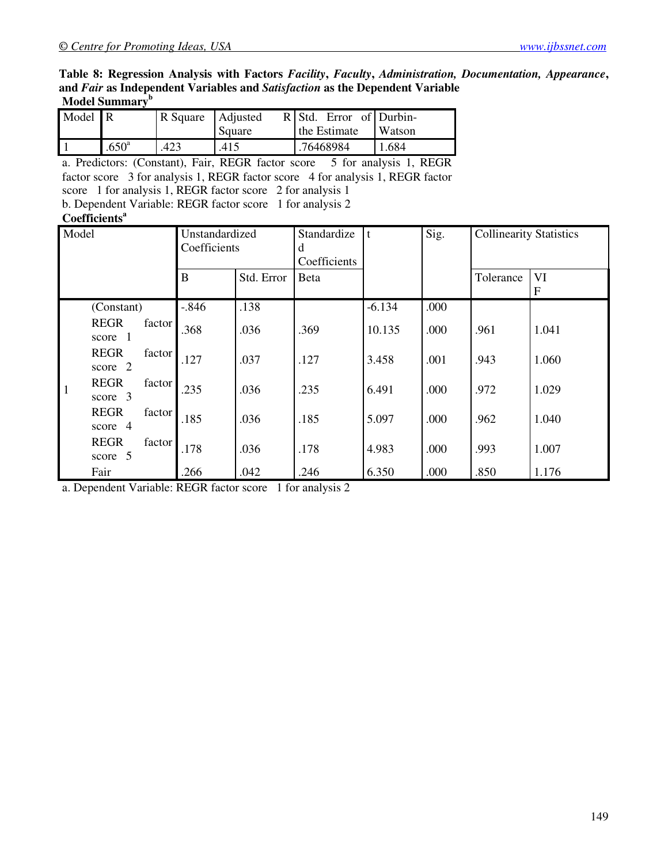#### **Table 8: Regression Analysis with Factors** *Facility***,** *Faculty***,** *Administration, Documentation, Appearance***, and** *Fair* **as Independent Variables and** *Satisfaction* **as the Dependent Variable Model Summary<sup>b</sup>**

| Model R |                   | R Square   Adjusted | Square | $R$ Std. Error of Durbin-<br>the Estimate | Watson   |
|---------|-------------------|---------------------|--------|-------------------------------------------|----------|
|         | .650 <sup>a</sup> | .423                | .415   | .76468984                                 | ـ 684. ، |

a. Predictors: (Constant), Fair, REGR factor score 5 for analysis 1, REGR factor score 3 for analysis 1, REGR factor score 4 for analysis 1, REGR factor score 1 for analysis 1, REGR factor score 2 for analysis 1 b. Dependent Variable: REGR factor score 1 for analysis 2

#### **Coefficients<sup>a</sup>**

| Model                                            | Unstandardized<br>Coefficients |            | Standardize<br>d<br>Coefficients | $\mathbf{t}$ | Sig. | <b>Collinearity Statistics</b> |         |
|--------------------------------------------------|--------------------------------|------------|----------------------------------|--------------|------|--------------------------------|---------|
|                                                  | $\bf{B}$                       | Std. Error | Beta                             |              |      | Tolerance                      | VI<br>F |
| (Constant)                                       | $-.846$                        | .138       |                                  | $-6.134$     | .000 |                                |         |
| <b>REGR</b><br>factor<br>score 1                 | .368                           | .036       | .369                             | 10.135       | .000 | .961                           | 1.041   |
| <b>REGR</b><br>factor<br>score 2                 | .127                           | .037       | .127                             | 3.458        | .001 | .943                           | 1.060   |
| <b>REGR</b><br>factor<br>$\mathbf{1}$<br>score 3 | .235                           | .036       | .235                             | 6.491        | .000 | .972                           | 1.029   |
| <b>REGR</b><br>factor<br>score 4                 | .185                           | .036       | .185                             | 5.097        | .000 | .962                           | 1.040   |
| <b>REGR</b><br>factor<br>-5<br>score             | .178                           | .036       | .178                             | 4.983        | .000 | .993                           | 1.007   |
| Fair                                             | .266                           | .042       | .246                             | 6.350        | .000 | .850                           | 1.176   |

a. Dependent Variable: REGR factor score 1 for analysis 2